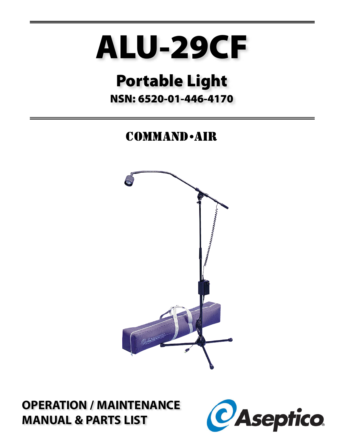# ALU-29CF

# **Portable Light** NSN: 6520-01-446-4170

# **COMMAND** - AIR



**OPERATION / MAINTENANCE MANUAL & PARTS LIST** 

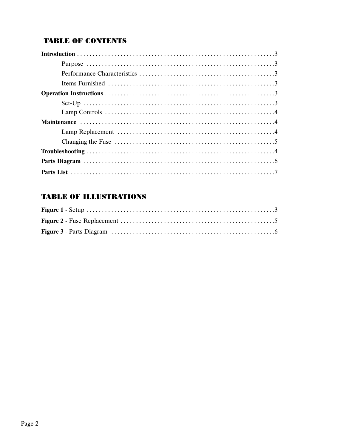# **TABLE OF CONTENTS**

# **TABLE OF ILLUSTRATIONS**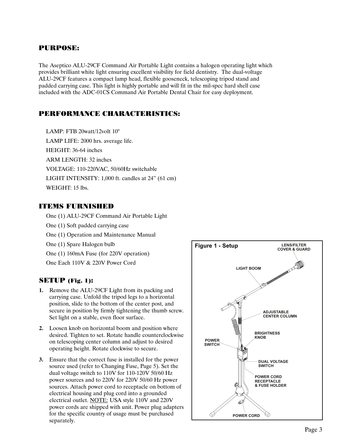## PURPOSE:

The Aseptico ALU-29CF Command Air Portable Light contains a halogen operating light which provides brilliant white light ensuring excellent visibility for field dentistry. The dual-voltage ALU-29CF features a compact lamp head, flexible gooseneck, telescoping tripod stand and padded carrying case. This light is highly portable and will fit in the mil-spec hard shell case included with the ADC-01CS Command Air Portable Dental Chair for easy deployment.

## PERFORMANCE CHARACTERISTICS:

LAMP: FTB 20watt/12volt 10° LAMP LIFE: 2000 hrs. average life. HEIGHT: 36-64 inches ARM LENGTH: 32 inches VOLTAGE: 110-220VAC, 50/60Hz switchable LIGHT INTENSITY: 1,000 ft. candles at 24" (61 cm) WEIGHT: 15 lbs.

#### ITEMS FURNISHED

One (1) ALU-29CF Command Air Portable Light

- One (1) Soft padded carrying case
- One (1) Operation and Maintenance Manual
- One (1) Spare Halogen bulb
- One (1) 160mA Fuse (for 220V operation)
- One Each 110V & 220V Power Cord

#### SETUP (Fig. 1):

- **1.** Remove the ALU-29CF Light from its packing and carrying case. Unfold the tripod legs to a horizontal position, slide to the bottom of the center post, and secure in position by firmly tightening the thumb screw. Set light on a stable, even floor surface.
- **2.** Loosen knob on horizontal boom and position where desired. Tighten to set. Rotate handle counterclockwise on telescoping center column and adjust to desired operating height. Rotate clockwise to secure.
- **3.** Ensure that the correct fuse is installed for the power source used (refer to Changing Fuse, Page 5). Set the dual voltage switch to 110V for 110-120V 50/60 Hz power sources and to 220V for 220V 50/60 Hz power sources. Attach power cord to receptacle on bottom of electrical housing and plug cord into a grounded electrical outlet. NOTE: USA style 110V and 220V power cords are shipped with unit. Power plug adapters for the specific country of usage must be purchased separately.

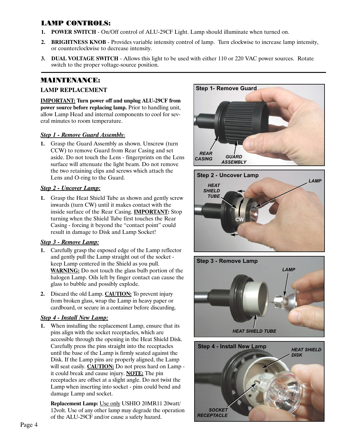## LAMP CONTROLS:

- **1. POWER SWITCH** On/Off control of ALU-29CF Light. Lamp should illuminate when turned on.
- **2. BRIGHTNESS KNOB** Provides variable intensity control of lamp. Turn clockwise to increase lamp intensity, or counterclockwise to decrease intensity.
- **3. DUAL VOLTAGE SWITCH** Allows this light to be used with either 110 or 220 VAC power sources. Rotate switch to the proper voltage-source position.

# MAINTENANCE:

#### **LAMP REPLACEMENT**

**IMPORTANT: Turn power off and unplug ALU-29CF from power source before replacing lamp.** Prior to handling unit, allow Lamp Head and internal components to cool for several minutes to room temperature.

#### *Step 1 - Remove Guard Assembly:*

**1.** Grasp the Guard Assembly as shown. Unscrew (turn CCW) to remove Guard from Rear Casing and set aside. Do not touch the Lens - fingerprints on the Lens surface will attenuate the light beam. Do not remove the two retaining clips and screws which attach the Lens and O-ring to the Guard.

#### *Step 2 - Uncover Lamp:*

**1.** Grasp the Heat Shield Tube as shown and gently screw inwards (turn CW) until it makes contact with the inside surface of the Rear Casing. **IMPORTANT:** Stop turning when the Shield Tube first touches the Rear Casing - forcing it beyond the "contact point" could result in damage to Disk and Lamp Socket!

#### *Step 3 - Remove Lamp:*

- **1.** Carefully grasp the exposed edge of the Lamp reflector and gently pull the Lamp straight out of the socket keep Lamp centered in the Shield as you pull. **WARNING:** Do not touch the glass bulb portion of the halogen Lamp. Oils left by finger contact can cause the glass to bubble and possibly explode.
- **2.** Discard the old Lamp. **CAUTION:** To prevent injury from broken glass, wrap the Lamp in heavy paper or cardboard, or secure in a container before discarding.

#### *Step 4 - Install New Lamp:*

**1.** When installing the replacement Lamp, ensure that its pins align with the socket receptacles, which are accessible through the opening in the Heat Shield Disk. Carefully press the pins straight into the receptacles until the base of the Lamp is firmly seated against the Disk. If the Lamp pins are properly aligned, the Lamp will seat easily. **CAUTION:** Do not press hard on Lamp it could break and cause injury. **NOTE:** The pin receptacles are offset at a slight angle. Do not twist the Lamp when inserting into socket - pins could bend and damage Lamp and socket.

**Replacement Lamp:** Use only USHIO 20MR11 20watt/ 12volt. Use of any other lamp may degrade the operation of the ALU-29CF and/or cause a safety hazard.







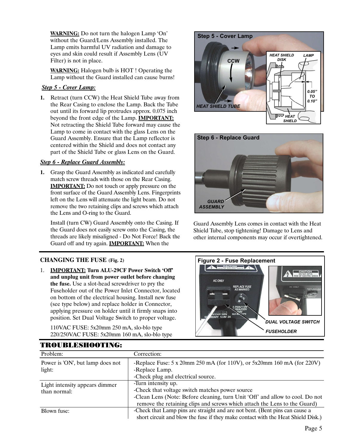**WARNING:** Do not turn the halogen Lamp 'On' without the Guard/Lens Assembly installed. The Lamp emits harmful UV radiation and damage to eyes and skin could result if Assembly Lens (UV Filter) is not in place.

**WARNING:** Halogen bulb is HOT ! Operating the Lamp without the Guard installed can cause burns!

#### *Step 5 - Cover Lamp:*

**1.** Retract (turn CCW) the Heat Shield Tube away from the Rear Casing to enclose the Lamp. Back the Tube out until its forward lip protrudes approx. 0.075 inch beyond the front edge of the Lamp. **IMPORTANT:** Not retracting the Shield Tube forward may cause the Lamp to come in contact with the glass Lens on the Guard Assembly. Ensure that the Lamp reflector is centered within the Shield and does not contact any part of the Shield Tube or glass Lens on the Guard.

#### *Step 6 - Replace Guard Assembly:*

**1.** Grasp the Guard Assembly as indicated and carefully match screw threads with those on the Rear Casing. **IMPORTANT:** Do not touch or apply pressure on the front surface of the Guard Assembly Lens. Fingerprints left on the Lens will attenuate the light beam. Do not remove the two retaining clips and screws which attach the Lens and O-ring to the Guard.

Install (turn CW) Guard Assembly onto the Casing. If the Guard does not easily screw onto the Casing, the threads are likely misaligned - Do Not Force! Back the Guard off and try again. **IMPORTANT:** When the

#### **CHANGING THE FUSE (Fig. 2)**

1. **IMPORTANT: Turn ALU-29CF Power Switch 'Off' and unplug unit from power outlet before changing the fuse.** Use a slot-head screwdriver to pry the Fuseholder out of the Power Inlet Connector, located on bottom of the electrical housing. Install new fuse (see type below) and replace holder in Connector, applying pressure on holder until it firmly snaps into position. Set Dual Voltage Switch to proper voltage.

110VAC FUSE: 5x20mm 250 mA, slo-blo type 220/250VAC FUSE: 5x20mm 160 mA, slo-blo type

**Step 5 - Cover Lamp CCW** *HEAT SHIELD TUBE 0.05" TO 0.10" HEAT SHIELD LAMP HEAT SHIELD DISK*



Guard Assembly Lens comes in contact with the Heat Shield Tube, stop tightening! Damage to Lens and other internal components may occur if overtightened.



| Problem:                         | Correction:                                                                              |  |
|----------------------------------|------------------------------------------------------------------------------------------|--|
| Power is 'ON', but lamp does not | -Replace Fuse: $5 \times 20$ mm $250$ mA (for 110V), or $5x20$ mm $160$ mA (for $220$ V) |  |
| light:                           | -Replace Lamp.                                                                           |  |
|                                  | -Check plug and electrical source.                                                       |  |
| Light intensity appears dimmer   | -Turn intensity up.                                                                      |  |
| than normal:                     | -Check that voltage switch matches power source                                          |  |
|                                  | -Clean Lens (Note: Before cleaning, turn Unit 'Off' and allow to cool. Do not            |  |
|                                  | remove the retaining clips and screws which attach the Lens to the Guard)                |  |
| Blown fuse:                      | -Check that Lamp pins are straight and are not bent. (Bent pins can cause a              |  |
|                                  | short circuit and blow the fuse if they make contact with the Heat Shield Disk.)         |  |

# TROUBLESHOOTING: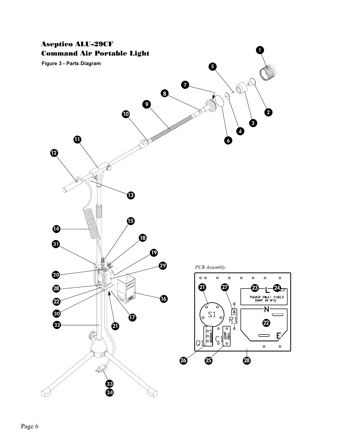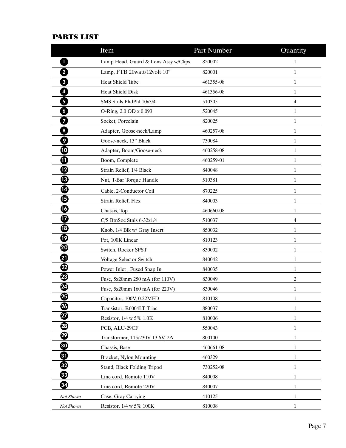# PARTS LIST

|                         | Item                                 | Part Number | Quantity       |
|-------------------------|--------------------------------------|-------------|----------------|
| 1                       | Lamp Head, Guard & Lens Assy w/Clips | 820002      | $\mathbf{1}$   |
| $\overline{\mathbf{2}}$ | Lamp, FTB 20watt/12volt 10°          | 820001      | $\mathbf{1}$   |
| 3 <sup>1</sup>          | Heat Shield Tube                     | 461355-08   | $\mathbf{1}$   |
| $\overline{4}$          | <b>Heat Shield Disk</b>              | 461356-08   | $\mathbf{1}$   |
| 5                       | SMS Stnls PhdPhl 10x3/4              | 510305      | $\overline{4}$ |
| $\boldsymbol{6}$        | O-Ring, 2.0 OD x 0.093               | 520045      | $\mathbf{1}$   |
| $\overline{7}$          | Socket, Porcelain                    | 820025      | $\mathbf{1}$   |
| $\boldsymbol{8}$        | Adapter, Goose-neck/Lamp             | 460257-08   | $\mathbf{1}$   |
| 9                       | Goose-neck, 13" Black                | 730084      | $\mathbf{1}$   |
| $\boldsymbol{\Phi}$     | Adapter, Boom/Goose-neck             | 460258-08   | $\mathbf{1}$   |
| ❶                       | Boom, Complete                       | 460259-01   | $\mathbf{1}$   |
| ℗                       | Strain Relief, 1/4 Black             | 840048      | $\mathbf{1}$   |
| ®                       | Nut, T-Bar Torque Handle             | 510381      | $\mathbf{1}$   |
| ❹                       | Cable, 2-Conductor Coil              | 870225      | 1              |
| ⊕                       | Strain Relief, Flex                  | 840003      | 1              |
| ❻                       | Chassis, Top                         | 460660-08   | 1              |
| ◐                       | C/S BtnSoc Stnls 6-32x1/4            | 510037      | 4              |
| ⊕                       | Knob, 1/4 Blk w/ Gray Insert         | 850032      | 1              |
| ℗                       | Pot, 100K Linear                     | 810123      | 1              |
| ❹                       | Switch, Rocker SPST                  | 830002      | 1              |
| ❹                       | Voltage Selector Switch              | 840042      | 1              |
| ❷                       | Power Inlet, Fused Snap In           | 840035      | 1              |
| ☎                       | Fuse, 5x20mm 250 mA (for 110V)       | 830049      | 2              |
| ❹                       | Fuse, 5x20mm 160 mA (for 220V)       | 830046      | 1              |
| ☎                       | Capacitor, 100V, 0.22MFD             | 810108      | 1              |
| ☎                       | Transistor, R6004LT Triac            | 880037      | 1              |
| Ø                       | Resistor, 1/4 w 5% 1.0K              | 810006      | 1              |
| ☜                       | PCB, ALU-29CF                        | 550043      | $\mathbf{1}$   |
| ☜                       | Transformer, 115/230V 13.6V, 2A      | 800100      | 1              |
| ❸                       | Chassis, Base                        | 460661-08   | 1              |
| ❶                       | Bracket, Nylon Mounting              | 460329      | 1              |
| ❸                       | Stand, Black Folding Tripod          | 730252-08   | 1              |
| ❸                       | Line cord, Remote 110V               | 840008      | 1              |
| ❹                       | Line cord, Remote 220V               | 840007      | 1              |
| Not Shown               | Case, Gray Carrying                  | 410125      | $\mathbf{1}$   |
| Not Shown               | Resistor, 1/4 w 5% 100K              | 810008      | 1              |